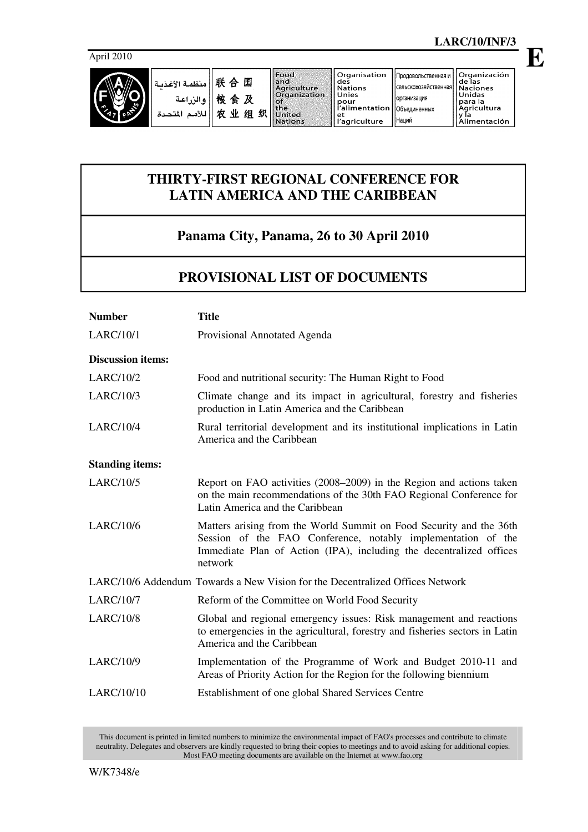

**E**

| ا منظمة الأغذمة $\mathbb R$ $\oplus$ $\mathbb E$ |                    |   | Food<br>and<br>Agriculture                                           | ll Organisation<br>des<br>l Nations                                             | Продовольственная и    Organización<br>Псельскохозяйственная   Naciones | de las                                            |
|--------------------------------------------------|--------------------|---|----------------------------------------------------------------------|---------------------------------------------------------------------------------|-------------------------------------------------------------------------|---------------------------------------------------|
| والزراعية<br>َ للأمد<br>المتحدة                  | 粮<br>食及<br>农<br>业组 | 织 | <b>Organization</b><br>۰o۴<br><b>the</b><br>United<br><b>Nations</b> | l Unies<br>pour<br>l l'alimentation   Объединенных .<br>l et<br>l l'agriculture | Порганизация<br>I I Наций                                               | Unidas<br> para la<br>Aaricultura<br>Alimentación |

## **THIRTY-FIRST REGIONAL CONFERENCE FOR LATIN AMERICA AND THE CARIBBEAN**

## **Panama City, Panama, 26 to 30 April 2010**

## **PROVISIONAL LIST OF DOCUMENTS**

| <b>Number</b>                                                                 | <b>Title</b>                                                                                                                                                                                                          |  |  |  |  |  |
|-------------------------------------------------------------------------------|-----------------------------------------------------------------------------------------------------------------------------------------------------------------------------------------------------------------------|--|--|--|--|--|
| <b>LARC/10/1</b>                                                              | Provisional Annotated Agenda                                                                                                                                                                                          |  |  |  |  |  |
| <b>Discussion items:</b>                                                      |                                                                                                                                                                                                                       |  |  |  |  |  |
| <b>LARC/10/2</b>                                                              | Food and nutritional security: The Human Right to Food                                                                                                                                                                |  |  |  |  |  |
| <b>LARC/10/3</b>                                                              | Climate change and its impact in agricultural, forestry and fisheries<br>production in Latin America and the Caribbean                                                                                                |  |  |  |  |  |
| <b>LARC/10/4</b>                                                              | Rural territorial development and its institutional implications in Latin<br>America and the Caribbean                                                                                                                |  |  |  |  |  |
| <b>Standing items:</b>                                                        |                                                                                                                                                                                                                       |  |  |  |  |  |
| <b>LARC/10/5</b>                                                              | Report on FAO activities (2008–2009) in the Region and actions taken<br>on the main recommendations of the 30th FAO Regional Conference for<br>Latin America and the Caribbean                                        |  |  |  |  |  |
| <b>LARC/10/6</b>                                                              | Matters arising from the World Summit on Food Security and the 36th<br>Session of the FAO Conference, notably implementation of the<br>Immediate Plan of Action (IPA), including the decentralized offices<br>network |  |  |  |  |  |
| LARC/10/6 Addendum Towards a New Vision for the Decentralized Offices Network |                                                                                                                                                                                                                       |  |  |  |  |  |
| <b>LARC/10/7</b>                                                              | Reform of the Committee on World Food Security                                                                                                                                                                        |  |  |  |  |  |
| <b>LARC/10/8</b>                                                              | Global and regional emergency issues: Risk management and reactions<br>to emergencies in the agricultural, forestry and fisheries sectors in Latin<br>America and the Caribbean                                       |  |  |  |  |  |
| LARC/10/9                                                                     | Implementation of the Programme of Work and Budget 2010-11 and<br>Areas of Priority Action for the Region for the following biennium                                                                                  |  |  |  |  |  |
| LARC/10/10                                                                    | Establishment of one global Shared Services Centre                                                                                                                                                                    |  |  |  |  |  |

This document is printed in limited numbers to minimize the environmental impact of FAO's processes and contribute to climate neutrality. Delegates and observers are kindly requested to bring their copies to meetings and to avoid asking for additional copies. Most FAO meeting documents are available on the Internet at www.fao.org